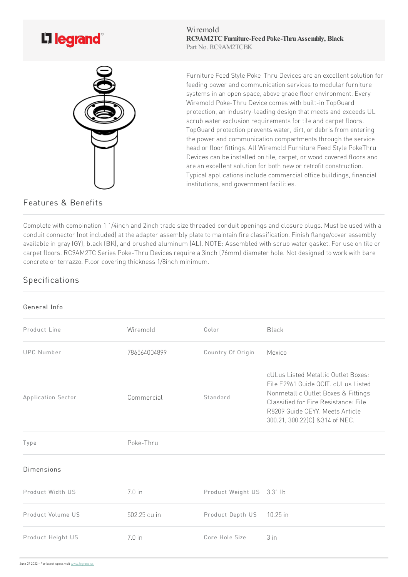## L'i legrand<sup>®</sup>

Wiremold **RC9AM2TCFurniture-FeedPoke-ThruAssembly, Black** Part No. RC9AM2TCBK

Furniture Feed Style Poke-Thru Devices are an excellent solution for feeding power and communication services to modular furniture systems in an open space, above grade floor environment. Every Wiremold Poke-Thru Device comes with built-in TopGuard protection, an industry-leading design that meets and exceeds UL scrub water exclusion requirements for tile and carpet floors. TopGuard protection prevents water, dirt, or debris from entering the power and communication compartments through the service head or floor fittings. All Wiremold Furniture Feed Style PokeThru Devices can be installed on tile, carpet, or wood covered floors and are an excellent solution for both new or retrofit construction. Typical applications include commercial office buildings, financial institutions, and government facilities.

## Features & Benefits

Complete with combination 1 1/4inch and 2inch trade size threaded conduit openings and closure plugs. Must be used with a conduit connector (not included) at the adapter assembly plate to maintain fire classification. Finish flange/cover assembly available in gray (GY), black (BK), and brushed aluminum (AL). NOTE: Assembled with scrub water gasket. For use on tile or carpet floors. RC9AM2TC Series Poke-Thru Devices require a 3inch (76mm) diameter hole. Not designed to work with bare concrete or terrazzo. Floor covering thickness 1/8inch minimum.

## Specifications

## General Info

| Product Line       | Wiremold     | Color                     | <b>Black</b>                                                                                                                                                                                                                    |
|--------------------|--------------|---------------------------|---------------------------------------------------------------------------------------------------------------------------------------------------------------------------------------------------------------------------------|
| <b>UPC Number</b>  | 786564004899 | Country Of Origin         | Mexico                                                                                                                                                                                                                          |
| Application Sector | Commercial   | Standard                  | cULus Listed Metallic Outlet Boxes:<br>File E2961 Guide QCIT, cULus Listed<br>Nonmetallic Outlet Boxes & Fittings<br>Classified for Fire Resistance: File<br>R8209 Guide CEYY, Meets Article<br>300.21, 300.22[C] & 314 of NEC. |
| Type               | Poke-Thru    |                           |                                                                                                                                                                                                                                 |
| Dimensions         |              |                           |                                                                                                                                                                                                                                 |
| Product Width US   | $7.0$ in     | Product Weight US 3.31 lb |                                                                                                                                                                                                                                 |
| Product Volume US  | 502.25 cu in | Product Depth US          | $10.25$ in                                                                                                                                                                                                                      |
| Product Height US  | $7.0$ in     | Core Hole Size            | 3 in                                                                                                                                                                                                                            |
|                    |              |                           |                                                                                                                                                                                                                                 |